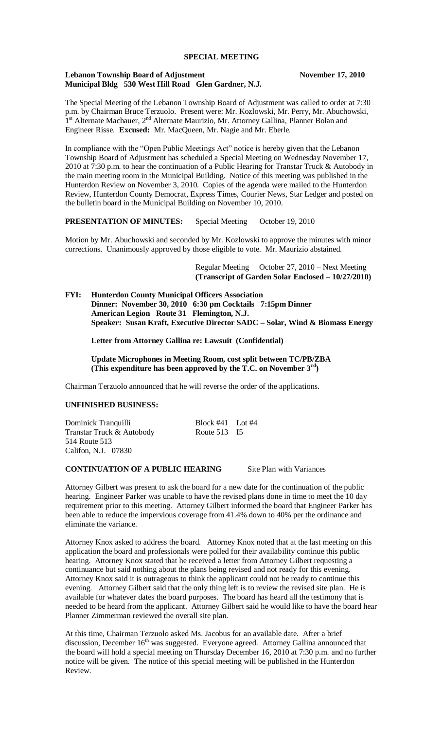### **SPECIAL MEETING**

### **Lebanon Township Board of Adjustment November 17, 2010 Municipal Bldg 530 West Hill Road Glen Gardner, N.J.**

The Special Meeting of the Lebanon Township Board of Adjustment was called to order at 7:30 p.m. by Chairman Bruce Terzuolo. Present were: Mr. Kozlowski, Mr. Perry, Mr. Abuchowski, 1<sup>st</sup> Alternate Machauer, 2<sup>nd</sup> Alternate Maurizio, Mr. Attorney Gallina, Planner Bolan and Engineer Risse. **Excused:** Mr. MacQueen, Mr. Nagie and Mr. Eberle.

In compliance with the "Open Public Meetings Act" notice is hereby given that the Lebanon Township Board of Adjustment has scheduled a Special Meeting on Wednesday November 17, 2010 at 7:30 p.m. to hear the continuation of a Public Hearing for Transtar Truck & Autobody in the main meeting room in the Municipal Building. Notice of this meeting was published in the Hunterdon Review on November 3, 2010. Copies of the agenda were mailed to the Hunterdon Review, Hunterdon County Democrat, Express Times, Courier News, Star Ledger and posted on the bulletin board in the Municipal Building on November 10, 2010.

# **PRESENTATION OF MINUTES:** Special Meeting October 19, 2010

Motion by Mr. Abuchowski and seconded by Mr. Kozlowski to approve the minutes with minor corrections. Unanimously approved by those eligible to vote. Mr. Maurizio abstained.

> Regular Meeting October 27, 2010 – Next Meeting **(Transcript of Garden Solar Enclosed – 10/27/2010)**

**FYI: Hunterdon County Municipal Officers Association Dinner: November 30, 2010 6:30 pm Cocktails 7:15pm Dinner American Legion Route 31 Flemington, N.J. Speaker: Susan Kraft, Executive Director SADC – Solar, Wind & Biomass Energy**

 **Letter from Attorney Gallina re: Lawsuit (Confidential)**

 **Update Microphones in Meeting Room, cost split between TC/PB/ZBA (This expenditure has been approved by the T.C. on November 3rd)**

Chairman Terzuolo announced that he will reverse the order of the applications.

### **UNFINISHED BUSINESS:**

Dominick Tranquilli<br>
Transtar Truck & Autobody<br>
Route 513 I5 Transtar Truck & Autobody 514 Route 513 Califon, N.J. 07830

# **CONTINUATION OF A PUBLIC HEARING** Site Plan with Variances

Attorney Gilbert was present to ask the board for a new date for the continuation of the public hearing. Engineer Parker was unable to have the revised plans done in time to meet the 10 day requirement prior to this meeting. Attorney Gilbert informed the board that Engineer Parker has been able to reduce the impervious coverage from 41.4% down to 40% per the ordinance and eliminate the variance.

Attorney Knox asked to address the board. Attorney Knox noted that at the last meeting on this application the board and professionals were polled for their availability continue this public hearing. Attorney Knox stated that he received a letter from Attorney Gilbert requesting a continuance but said nothing about the plans being revised and not ready for this evening. Attorney Knox said it is outrageous to think the applicant could not be ready to continue this evening. Attorney Gilbert said that the only thing left is to review the revised site plan. He is available for whatever dates the board purposes. The board has heard all the testimony that is needed to be heard from the applicant. Attorney Gilbert said he would like to have the board hear Planner Zimmerman reviewed the overall site plan.

At this time, Chairman Terzuolo asked Ms. Jacobus for an available date. After a brief discussion, December 16<sup>th</sup> was suggested. Everyone agreed. Attorney Gallina announced that the board will hold a special meeting on Thursday December 16, 2010 at 7:30 p.m. and no further notice will be given. The notice of this special meeting will be published in the Hunterdon Review.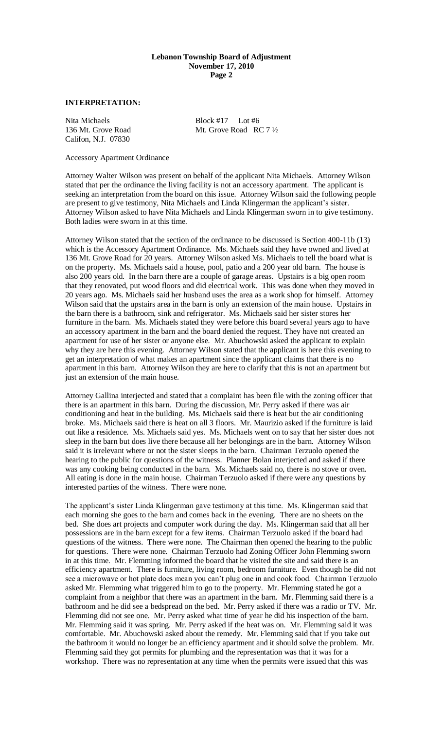## **Lebanon Township Board of Adjustment November 17, 2010 Page 2**

# **INTERPRETATION:**

Nita Michaels<br>136 Mt. Grove Road<br>136 Mt. Grove Road<br>198 Mt. Grove Road Califon, N.J. 07830

Mt. Grove Road RC  $7\frac{1}{2}$ 

Accessory Apartment Ordinance

Attorney Walter Wilson was present on behalf of the applicant Nita Michaels. Attorney Wilson stated that per the ordinance the living facility is not an accessory apartment. The applicant is seeking an interpretation from the board on this issue. Attorney Wilson said the following people are present to give testimony, Nita Michaels and Linda Klingerman the applicant's sister. Attorney Wilson asked to have Nita Michaels and Linda Klingerman sworn in to give testimony. Both ladies were sworn in at this time.

Attorney Wilson stated that the section of the ordinance to be discussed is Section 400-11b (13) which is the Accessory Apartment Ordinance. Ms. Michaels said they have owned and lived at 136 Mt. Grove Road for 20 years. Attorney Wilson asked Ms. Michaels to tell the board what is on the property. Ms. Michaels said a house, pool, patio and a 200 year old barn. The house is also 200 years old. In the barn there are a couple of garage areas. Upstairs is a big open room that they renovated, put wood floors and did electrical work. This was done when they moved in 20 years ago. Ms. Michaels said her husband uses the area as a work shop for himself. Attorney Wilson said that the upstairs area in the barn is only an extension of the main house. Upstairs in the barn there is a bathroom, sink and refrigerator. Ms. Michaels said her sister stores her furniture in the barn. Ms. Michaels stated they were before this board several years ago to have an accessory apartment in the barn and the board denied the request. They have not created an apartment for use of her sister or anyone else. Mr. Abuchowski asked the applicant to explain why they are here this evening. Attorney Wilson stated that the applicant is here this evening to get an interpretation of what makes an apartment since the applicant claims that there is no apartment in this barn. Attorney Wilson they are here to clarify that this is not an apartment but just an extension of the main house.

Attorney Gallina interjected and stated that a complaint has been file with the zoning officer that there is an apartment in this barn. During the discussion, Mr. Perry asked if there was air conditioning and heat in the building. Ms. Michaels said there is heat but the air conditioning broke. Ms. Michaels said there is heat on all 3 floors. Mr. Maurizio asked if the furniture is laid out like a residence. Ms. Michaels said yes. Ms. Michaels went on to say that her sister does not sleep in the barn but does live there because all her belongings are in the barn. Attorney Wilson said it is irrelevant where or not the sister sleeps in the barn. Chairman Terzuolo opened the hearing to the public for questions of the witness. Planner Bolan interjected and asked if there was any cooking being conducted in the barn. Ms. Michaels said no, there is no stove or oven. All eating is done in the main house. Chairman Terzuolo asked if there were any questions by interested parties of the witness. There were none.

The applicant's sister Linda Klingerman gave testimony at this time. Ms. Klingerman said that each morning she goes to the barn and comes back in the evening. There are no sheets on the bed. She does art projects and computer work during the day. Ms. Klingerman said that all her possessions are in the barn except for a few items. Chairman Terzuolo asked if the board had questions of the witness. There were none. The Chairman then opened the hearing to the public for questions. There were none. Chairman Terzuolo had Zoning Officer John Flemming sworn in at this time. Mr. Flemming informed the board that he visited the site and said there is an efficiency apartment. There is furniture, living room, bedroom furniture. Even though he did not see a microwave or hot plate does mean you can't plug one in and cook food. Chairman Terzuolo asked Mr. Flemming what triggered him to go to the property. Mr. Flemming stated he got a complaint from a neighbor that there was an apartment in the barn. Mr. Flemming said there is a bathroom and he did see a bedspread on the bed. Mr. Perry asked if there was a radio or TV. Mr. Flemming did not see one. Mr. Perry asked what time of year he did his inspection of the barn. Mr. Flemming said it was spring. Mr. Perry asked if the heat was on. Mr. Flemming said it was comfortable. Mr. Abuchowski asked about the remedy. Mr. Flemming said that if you take out the bathroom it would no longer be an efficiency apartment and it should solve the problem. Mr. Flemming said they got permits for plumbing and the representation was that it was for a workshop. There was no representation at any time when the permits were issued that this was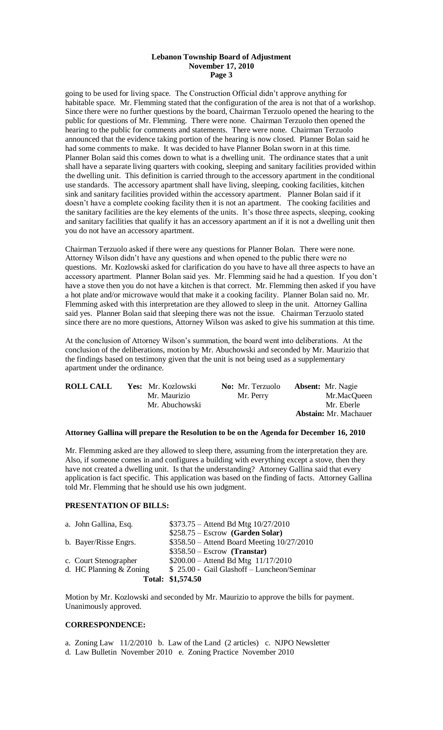## **Lebanon Township Board of Adjustment November 17, 2010 Page 3**

going to be used for living space. The Construction Official didn't approve anything for habitable space. Mr. Flemming stated that the configuration of the area is not that of a workshop. Since there were no further questions by the board, Chairman Terzuolo opened the hearing to the public for questions of Mr. Flemming. There were none. Chairman Terzuolo then opened the hearing to the public for comments and statements. There were none. Chairman Terzuolo announced that the evidence taking portion of the hearing is now closed. Planner Bolan said he had some comments to make. It was decided to have Planner Bolan sworn in at this time. Planner Bolan said this comes down to what is a dwelling unit. The ordinance states that a unit shall have a separate living quarters with cooking, sleeping and sanitary facilities provided within the dwelling unit. This definition is carried through to the accessory apartment in the conditional use standards. The accessory apartment shall have living, sleeping, cooking facilities, kitchen sink and sanitary facilities provided within the accessory apartment. Planner Bolan said if it doesn't have a complete cooking facility then it is not an apartment. The cooking facilities and the sanitary facilities are the key elements of the units. It's those three aspects, sleeping, cooking and sanitary facilities that qualify it has an accessory apartment an if it is not a dwelling unit then you do not have an accessory apartment.

Chairman Terzuolo asked if there were any questions for Planner Bolan. There were none. Attorney Wilson didn't have any questions and when opened to the public there were no questions. Mr. Kozlowski asked for clarification do you have to have all three aspects to have an accessory apartment. Planner Bolan said yes. Mr. Flemming said he had a question. If you don't have a stove then you do not have a kitchen is that correct. Mr. Flemming then asked if you have a hot plate and/or microwave would that make it a cooking facility. Planner Bolan said no. Mr. Flemming asked with this interpretation are they allowed to sleep in the unit. Attorney Gallina said yes. Planner Bolan said that sleeping there was not the issue. Chairman Terzuolo stated since there are no more questions, Attorney Wilson was asked to give his summation at this time.

At the conclusion of Attorney Wilson's summation, the board went into deliberations. At the conclusion of the deliberations, motion by Mr. Abuchowski and seconded by Mr. Maurizio that the findings based on testimony given that the unit is not being used as a supplementary apartment under the ordinance.

| <b>ROLL CALL</b> | Yes: Mr. Kozlowski | <b>No:</b> Mr. Terzuolo | <b>Absent:</b> Mr. Nagie     |
|------------------|--------------------|-------------------------|------------------------------|
|                  | Mr. Maurizio       | Mr. Perry               | Mr.MacQueen                  |
|                  | Mr. Abuchowski     |                         | Mr. Eberle                   |
|                  |                    |                         | <b>Abstain:</b> Mr. Machauer |

### **Attorney Gallina will prepare the Resolution to be on the Agenda for December 16, 2010**

Mr. Flemming asked are they allowed to sleep there, assuming from the interpretation they are. Also, if someone comes in and configures a building with everything except a stove, then they have not created a dwelling unit. Is that the understanding? Attorney Gallina said that every application is fact specific. This application was based on the finding of facts. Attorney Gallina told Mr. Flemming that he should use his own judgment.

### **PRESENTATION OF BILLS:**

| a. John Gallina, Esq.   | \$373.75 - Attend Bd Mtg 10/27/2010         |
|-------------------------|---------------------------------------------|
|                         | $$258.75 - Escrow$ (Garden Solar)           |
| b. Bayer/Risse Engrs.   | \$358.50 – Attend Board Meeting 10/27/2010  |
|                         | $$358.50 - Escrow$ (Transtar)               |
| c. Court Stenographer   | $$200.00 - Attend Bd Mtg 11/17/2010$        |
| d. HC Planning & Zoning | \$ 25.00 - Gail Glashoff - Luncheon/Seminar |
|                         | Total: \$1,574.50                           |

Motion by Mr. Kozlowski and seconded by Mr. Maurizio to approve the bills for payment. Unanimously approved.

### **CORRESPONDENCE:**

a. Zoning Law 11/2/2010 b. Law of the Land (2 articles) c. NJPO Newsletter d. Law Bulletin November 2010 e. Zoning Practice November 2010